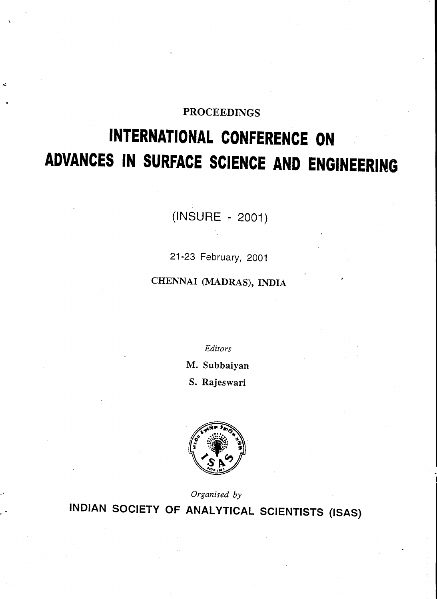# **PROCEEDINGS**

# **INTERNATIONAL CONFERENCE ON ADVANCES IN SURFACE SCIENCE AND ENGINEERING**

(INSURE - 2001)

21-23 February, 2001

CHENNAI (MADRAS), INDIA

Editors

M. Subbaiyan

S. Rajeswari



Organised by INDIAN SOCIETY OF ANALYTICAL SCIENTISTS (ISAS)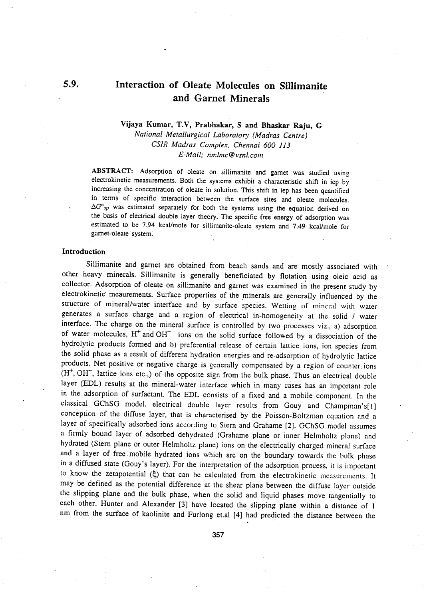# Interaction of Oleate Molecules on Sillimanite and Garnet Minerals

## Vijaya Kumar, T.V, Prabhakar, S and Bhaskar Raju, G *National Metallurgical Laboratory (Madras Centre) CSIR Madras Complex, Chellnai 600 113 [E-Mail;nmlmc@vsnl.com](mailto:E-Mail;nmlmc@vsnl.com)*

ABSTRACT: Adsorption of oleate on sillimanite and garnet was studied using electrokinetic measurements. Both the systems exhibit a characteristic shift in iep by increasing the concentration of oleate in solution. This shift in iep has been quantified in terms of specific interaction between the surface sites and oleate molecules.  $\Delta G^{\circ}_{sp}$  was estimated separately for both the systems using the equation derived on the basis of electrical double layer theory. The specific free energy of adsorption was estimated to be 7.94 kcal/mole for sillimanite-oleate system and 7.49 kcal/mole for gamet-oleate system:

#### Introduction

Sillimanite and garnet are obtained from beach sands and are mostly associated with other heavy minerals. Sillimanite is generally beneficiated by flotation using oleic acid as collector .. Adsorption of oleate on sillimanite and garnet was examined in the present study by electrokinetic' meaurements. Surface properties of the minerals are generally influenced by the structure of mineral/water interface and by surface species. Wetting of mineral with water generates a surface charge and a region of electrical in-homogeneity at the solid / water interface. The charge on the mineral surface is controlled by two processes viz., a) adsorption of water molecules,  $H^+$  and OH $^-$  ions on the solid surface followed by a dissociation of the hydrolytic products formed and b) preferential release of certain lattice ions, ion species from the solid phase as a result of different hydration energies and re-adsorption of hydrolytic lattice products. Net positive or negative charge is generally compensated by a region of counter ions *(W,* OH-, lattice ions etc.,) of the opposite sign from the bulk phase. Thus an electrical double layer (EDL) results at the mineral-water interface which in many cases has an important role in the adsorption of surfactant. The EDL consists of a fixed and a mobile component. In the classical GChSG model, electrical double layer results from Gouy and Champman's[lJ conception of the diffuse layer, that is characterised by the Poisson-Boltzman equation and a layer of specifically adsorbed ions according to Stern and Grahame [2]. GChSG model assumes a firmly bound layer of adsorbed dehydrated (Grahame plane or inner Helmholtz plane) and hydrated (Stern plane or outer Helmholtz plane) ions on the electrically charged mineral surface and a layer of free mobile hydrated ions which are on the boundary towards the bulk phase in a diffused state (Gouy's layer). For the interpretation of the adsorption process, it is important to know the zetapotential  $(\xi)$  that can be calculated from the electrokinetic measurements. It may be defined as the potential difference at the shear plane between the diffuse layer outside the slipping plane and the bulk phase, when the solid and liquid phases move tangentially to each other. Hunter and Alexander [3] have located the slipping plane within a distance of 1 nm from the surface of kaolinite and Furlong et.al [4J had predicted the distance between the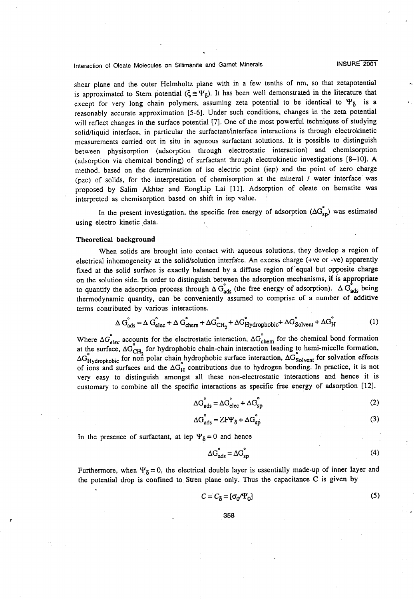## Interaction of Oleate Molecules on Sillimanite and Garnet Minerals

INSURE 2001

shear plane and the outer Helmholtz plane with in a few tenths of nm, so that zetapotential is approximated to Stern potential  $(\xi \cong \Psi_{\delta})$ . It has been well demonstrated in the literature that except for very long chain polymers, assuming zeta potential to be identical to  $\Psi_{\delta}$  is a reasonably accurate approximation [5-6]. Under such conditions, changes in the zeta potential will reflect changes in the surface potential [7]. One of the most powerful techniques of studying solid/liquid interface, in particular the surfactant/interface interactions is through electrokinetic measurements carried out in situ in aqueous surfactant solutions. It is possible to distinguish between physisorption (adsorption through electrostatic interaction) and chemisorption (adsorption via chemical bonding) of surfactant through electrokinetic investigations [8-10]. A method, based on the determination of iso electric point (iep) and the point of zero charge (pzc) of solids, for the interpretation of chemisorption at the mineral/water interface was proposed by Salim Akhtar and EongLip Lai [llJ. Adsorption of oleate on hematite was interpreted as chemisorption based on shift in iep value.

In the present investigation, the specific free energy of adsorption  $(\Delta G_{\text{sp}}^{\circ})$  was estimated using electro kinetic data.

#### **Theoretical background**

When solids are brought into contact with aqueous solutions, they develop a region of electrical inhomogeneity at the solid/solution interface. An excess charge (+ve or -ve) apparently fixed at the solid surface is exactly balanced by a diffuse region of equal but opposite charge on the solution side. In order to distinguish between the adsorption mechanisms, it is appropriate to quantify the adsorption process through  $\Delta G_{ads}$  (the free energy of adsorption).  $\Delta G_{ads}$  being thermodynamic quantity, can be conveniently assumed to comprise of a number of additive terms contributed by various interactions.

$$
\Delta G_{ads}^{\circ} = \Delta G_{elec}^{\circ} + \Delta G_{chem}^{\circ} + \Delta G_{CH_2}^{\circ} + \Delta G_{Hydrophobic}^{\circ} + \Delta G_{solvent}^{\circ} + \Delta G_{H}^{\circ}
$$
 (1)

Where  $\Delta G_{elec}^{\circ}$  accounts for the electrostatic interaction,  $\Delta G_{chem}^{\circ}$  for the chemical bond formation at the surface,  $\Delta G_{CH}$  for hydrophobic chain-chain interaction leading to hemi-micelle formation  $\Delta G_{\text{Hydrophobic}}^{S}$  for non polar chain hydrophobic surface interaction,  $\Delta G_{\text{Solvent}}^{S}$  for solvation effects of ions and surfaces and the  $\Delta G_H$  contributions due to hydrogen bonding. In practice, it is no very easy to distinguish amongst all these non-electrostatic interactions and hence it is customary to combine all the specific interactions as specific free energy of adsorption [12J.

$$
\Delta G_{ads}^{\circ} = \Delta G_{elec}^{\circ} + \Delta G_{sp}^{\circ}
$$
 (2)

$$
\Delta G_{ads}^{\circ} = ZF\Psi_{\delta} + \Delta G_{SD}^{\circ}
$$
 (3)

In the presence of surfactant, at iep  $\Psi_{\delta}= 0$  and hence

$$
\Delta G_{ads}^{\circ} = \Delta G_{sp}^{\circ} \tag{4}
$$

Furthermore, when  $\Psi_{\delta} = 0$ , the electrical double layer is essentially made-up of inner layer and the potential drop is confined to Stren plane only. Thus the capacitance C is given by

$$
C = C_{\delta} = [\sigma_0 / \Psi_0]
$$
 (5)

358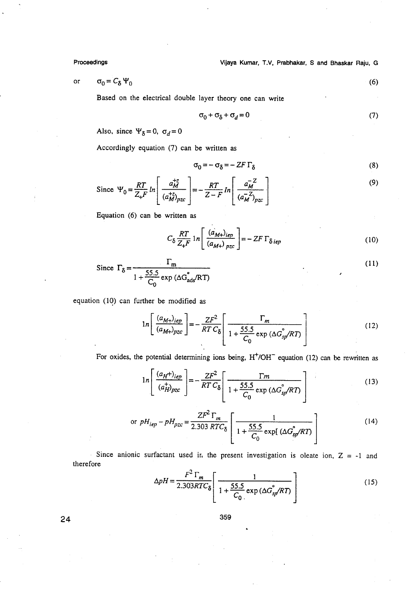Proceedings

Vijaya Kumar, T.V, Prabhakar, S and Bhaskar Raju, G

$$
\sigma_0 = C_\delta \Psi_0 \tag{6}
$$

Based on the electrical double layer theory one can write

$$
\sigma_0 + \sigma_\delta + \sigma_d = 0 \tag{7}
$$

Also, since  $\Psi_{\delta} = 0$ ,  $\sigma_d = 0$ 

Accordingly equation (7) can be written as

$$
\sigma_0 = -\sigma_\delta = -ZF\Gamma_\delta \tag{8}
$$

Since 
$$
\Psi_0 = \frac{RT}{Z_+F} ln \left[ \frac{a_M^{+z}}{(a_M^{+z})_{pzc}} \right] = -\frac{RT}{Z-F} ln \left[ \frac{a_M^{-z}}{(a_M^{-z})_{pzc}} \right]
$$
 (9)

Equation (6) can be written as

$$
C_{\delta} \frac{RT}{Z_{+}F} \ln \left[ \frac{(a_{M+})_{iep}}{(a_{M+})_{pzc}} \right] = - ZF \Gamma_{\delta\,iep}
$$
 (10)

Since 
$$
\Gamma_{\delta} = \frac{\Gamma_{\rm m}}{1 + \frac{55.5}{C_0} \exp(\Delta G_{\rm add}^{\circ}/RT)}
$$
 (11)

equation (10) can further be modified as

$$
ln\left[\frac{(a_{M+})_{iep}}{(a_{M+})_{pzc}}\right] = -\frac{ZF^2}{RTC_\delta}\left[\frac{\Gamma_m}{1 + \frac{55.5}{C_0}\exp(\Delta G_{sp}^{\circ}/RT)}\right]
$$
(12)

For oxides, the potential determining ions being,  $H<sup>+</sup>/OH<sup>-</sup>$  equation (12) can be rewritten as

$$
1n\left[\frac{(a_H+_{)ie_p}}{(a_H^+_{})_{pzc}}\right] = -\frac{ZF^2}{RT\,C_\delta}\left[\frac{\Gamma m}{1+\frac{55.5}{C_0}\exp\left(\Delta G_{s_p}^{\circ}/RT\right)}\right]
$$
(13)

or 
$$
pH_{iep} - pH_{pzc} = \frac{ZF^2 \Gamma_m}{2.303 \, RTC_\delta} \left[ \frac{1}{1 + \frac{55.5}{C_0} \exp[(\Delta G_{sp}^{\circ}/RT)]} \right]
$$
 (14)

Since anionic surfactant used in the present investigation is oleate ion,  $Z = -1$  and therefore

$$
\Delta pH = \frac{F^2 \Gamma_m}{2.303RTC_\delta} \left[ \frac{1}{1 + \frac{55.5}{C_0} \exp(\Delta G_{sf}^{\circ}/RT)} \right]
$$
(15)

359

24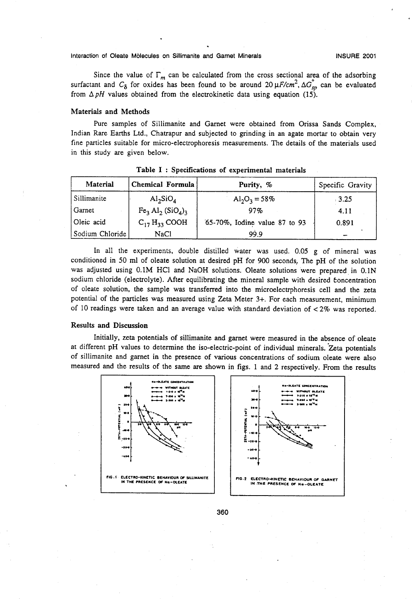Interaction of Oleate Molecules on Sillimanite and Gamet Minerals

Since the value of  $\Gamma_m$  can be calculated from the cross sectional area of the adsorbing surfactant and  $C_{\delta}$  for oxides has been found to be around 20  $\mu$ *F/cm*<sup>2</sup>,  $\Delta G_{sp}^{\circ}$  can be evaluate from  $\Delta pH$  values obtained from the electrokinetic data using equation (15).

#### Materials and Methods

Pure samples of Sillimanite and Garnet were obtained from Orissa Sands Complex, Indian Rare Earths Ltd., Chatrapur and subjected to grinding in an agate mortar to obtain very fine particles suitable for micro-electrophoresis measurements. The details of the materials used in this study are given below.

| Material        | Chemical Formula              | Purity, %                     | Specific Gravity |  |
|-----------------|-------------------------------|-------------------------------|------------------|--|
| Sillimanite     | $\mathrm{Al}_2\mathrm{SiO}_4$ | $Al_2O_3 = 58\%$              | .3.25            |  |
| Garnet          | $Fe3 Al2 (SiO4)3$             | 97%                           | 4.11             |  |
| Oleic acid      | $C_{17}H_{33}$ COOH           | 65-70%, Iodine value 87 to 93 | 0.891            |  |
| Sodium Chloride | <b>NaCl</b>                   | 99.9                          |                  |  |

Table I: Specifications of experimental materials

In all the experiments, double distilled water was used. 0.05 g of mineral was conditioned in 50 ml of oleate solution at desired pH for 900 seconds. The pH of the solution was adjusted using 0.1M HCl and NaOH solutions. Oleate solutions were prepared in 0.1N sodium chloride (electrolyte). After equilibrating the mineral sample with desired concentration of oleate solution, the sample was transferred into the microelectrphoresis cell and the zeta potential of the particles was measured using Zeta Meter 3+. For each measurement, minimum of 10 readings were taken and an average value with standard deviation of < 2% was reported.

#### Results and Discussion

Initially, zeta potentials of sillimanite and garnet were measured in the absence of oleate at different pH values to determine the iso-electric-point of individual minerals. 'Zeta potentials of sillimanite and garnet in the presence of various concentrations of sodium oleate were also measured and the results of the same are shown in figs. 1 and 2 respectively. From the results



360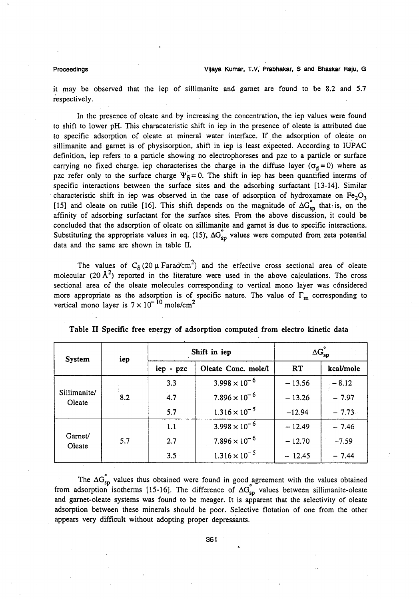#### Proceedings

it may be observed that the iep of sillimanite and garnet are found to be 8.2 and 5.7 iespectively.

In the presence of oleate and by increasing the concentration, the iep values were found to shift to lower pH. This characateristic shift in iep in the presence of oleate is attributed due to specific adsorption of oleate at mineral water interface. If the adsorption of oleate on sillimanite and garnet is of physisorption. shift in iep is least expected. According to IUPAC definition, iep refers to a particle showing no electrophoreses and pzc to a particle or surface carrying no fixed charge. iep characterises the charge in the diffuse layer ( $\sigma_d = 0$ ) where as pzc refer only to the surface charge  $\Psi_5 = 0$ . The shift in iep has been quantified interms of specific interactions between the surface sites and the adsorbing surfactant [13-14). Similar characteristic shift in iep was observed in the case of adsorption of hydroxamate on  $Fe<sub>2</sub>O<sub>3</sub>$ [15] and oleate on rutile [16]. This shift depends on the magnitude of  $\Delta G_{sp}$  that is, on the affinity of adsorbing surfactant for the surface sites. From the above discussion, it could be concluded that the adsorption of oleate on sillimanite and garnet is due to specific interactions. Substituting the appropriate values in eq. (15),  $\Delta G_{sp}$  values were computed from zeta potentia data and the same are shown in table II.

The values of  $C_{\delta}$  (20  $\mu$  Farad/cm<sup>2</sup>) and the effective cross sectional area of oleate molecular (20  $\AA^2$ ) reported in the literature were used in the above calculations. The cross sectional area of the oleate molecules corresponding to vertical mono layer was cónsidered sectional area of the offere indicednes corresponding to vertical mono layer was considered<br>more appropriate as the adsorption is of specific nature. The value of  $\Gamma_{\rm m}$  corresponding to vertical mono layer is  $7 \times 10^{-10}$  mole/cm<sup>2</sup>

| System                 | iep | Shift in iep |                        | $\Delta G_{\text{sp}}^{\circ}$ |           |
|------------------------|-----|--------------|------------------------|--------------------------------|-----------|
|                        |     | iep - pzc    | Oleate Conc. mole/l    | <b>RT</b>                      | kcal/mole |
| Sillimanite/<br>Oleate | 8.2 | 3.3          | $3.998 \times 10^{-6}$ | $-13.56$                       | $-8.12$   |
|                        |     | 4.7          | $7.896 \times 10^{-6}$ | $-13.26$                       | $-7.97$   |
|                        |     | 5.7          | $1.316 \times 10^{-5}$ | $-12.94$                       | $-7.73$   |
| Garnet/<br>Oleate      | 5.7 | 1.1          | $3.998 \times 10^{-6}$ | $-12.49$                       | $-7.46$   |
|                        |     | 2.7          | $7.896 \times 10^{-6}$ | $-12.70$                       | $-7.59$   |
|                        |     | $3.5 -$      | $1.316 \times 10^{-5}$ | $-12.45$                       | $-7.44$   |

Table II Specific free energy of adsorption computed from electro kinetic data

The  $\Delta G_{sp}$  values thus obtained were found in good agreement with the values obtained from adsorption isotherms [15-16]. The difference of  $\Delta G_{\rm SD}$  values between sillimanite-oleate and garnet-oleate systems was found to be meager. It is apparent that the selectivity of oleate adsorption between these minerals should be poor. Selective flotation of one from the other appears very difficult without adopting proper depressants.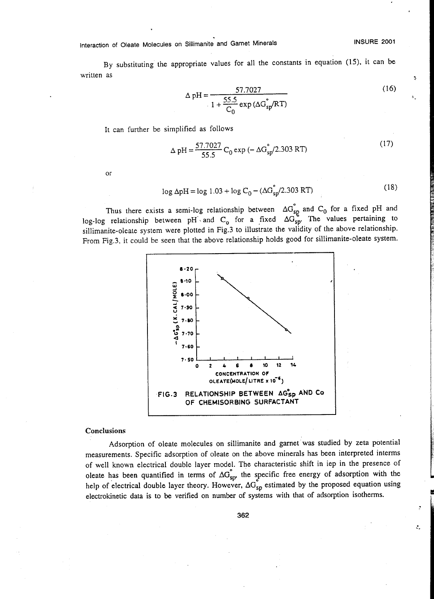### Interaction of Oleate Molecules on Sillimanite and Garnet Minerals

#### INSURE 2001

Ĵ,

ĉ,

By substituting the appropriate values for all the constants in equation (15), it can be written as

$$
\Delta \text{ pH} = \frac{57.7027}{1 + \frac{55.5}{C_0} \exp(\Delta G_{\text{sp}}^{\circ}/RT)}
$$
(16)

It can further be simplified as follows

$$
\Delta pH = \frac{57.7027}{55.5} C_0 \exp(-\Delta G_{sp}^2 / 2.303 RT)
$$
 (17)

or

$$
log ΔpH = log 1.03 + log C0 - (ΔGsp2/2.303 RT)
$$
\n(18)

Thus there exists a semi-log relationship between  $\Delta G_{sp}$  and  $C_0$  for a fixed pH and og-log relationship between pH and C<sub>o</sub> for a fixed  $\Delta G_{sp}$ . The values pertaining to siJlimanite-oleate system were plotted in Fig.3 to illustrate the validity of the above relationship. From Fig.3, it could be seen that the above relationship holds good for sillimanite-oleate system.



#### Conclusions

Adsorption of oleate molecules on sillimanite and garnet was studied by zeta potential measurements. Specific adsorption of oleate on the above minerals has been interpreted interms of well known electrical double layer model. The characteristic shift in iep in the presence of oleate has been quantified in terms of  $\Delta G_{sp}^{\circ}$ , the specific free energy of adsorption with the help of electrical double layer theory. However,  $\Delta G_{sp}$  estimated by the proposed equation using electrokinetic data is to be verified on number of systems with that of adsorption isotherms.